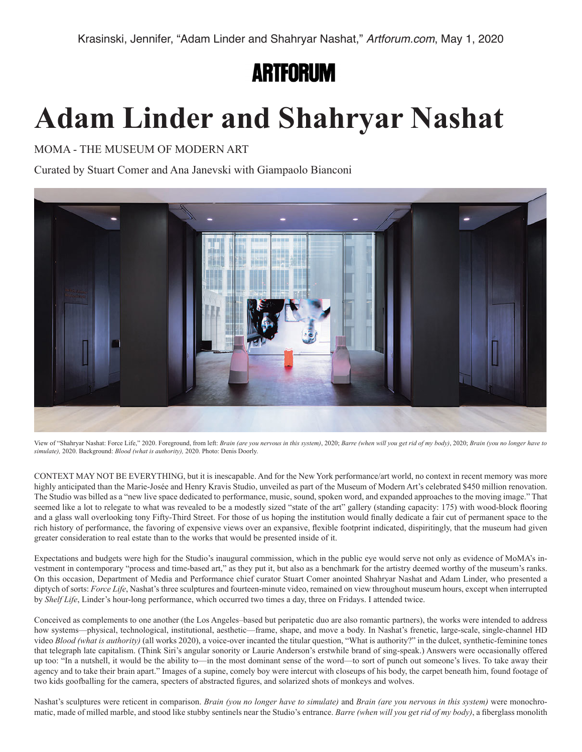**ARTFORUM** 

## **Adam Linder and Shahryar Nashat**

MOMA - THE MUSEUM OF MODERN ART

Curated by Stuart Comer and Ana Janevski with Giampaolo Bianconi



View of "Shahryar Nashat: Force Life," 2020. Foreground, from left: *Brain (are you nervous in this system)*, 2020; *Barre (when will you get rid of my body)*, 2020; *Brain (you no longer have to simulate),* 2020. Background: *Blood (what is authority),* 2020. Photo: Denis Doorly.

CONTEXT MAY NOT BE EVERYTHING, but it is inescapable. And for the New York performance/art world, no context in recent memory was more highly anticipated than the Marie-Josée and Henry Kravis Studio, unveiled as part of the Museum of Modern Art's celebrated \$450 million renovation. The Studio was billed as a "new live space dedicated to performance, music, sound, spoken word, and expanded approaches to the moving image." That seemed like a lot to relegate to what was revealed to be a modestly sized "state of the art" gallery (standing capacity: 175) with wood-block flooring and a glass wall overlooking tony Fifty-Third Street. For those of us hoping the institution would finally dedicate a fair cut of permanent space to the rich history of performance, the favoring of expensive views over an expansive, flexible footprint indicated, dispiritingly, that the museum had given greater consideration to real estate than to the works that would be presented inside of it.

Expectations and budgets were high for the Studio's inaugural commission, which in the public eye would serve not only as evidence of MoMA's investment in contemporary "process and time-based art," as they put it, but also as a benchmark for the artistry deemed worthy of the museum's ranks. On this occasion, Department of Media and Performance chief curator Stuart Comer anointed Shahryar Nashat and Adam Linder, who presented a diptych of sorts: *Force Life*, Nashat's three sculptures and fourteen-minute video, remained on view throughout museum hours, except when interrupted by *Shelf Life*, Linder's hour-long performance, which occurred two times a day, three on Fridays. I attended twice.

Conceived as complements to one another (the Los Angeles–based but peripatetic duo are also romantic partners), the works were intended to address how systems—physical, technological, institutional, aesthetic—frame, shape, and move a body. In Nashat's frenetic, large-scale, single-channel HD video *Blood (what is authority)* (all works 2020), a voice-over incanted the titular question, "What is authority?" in the dulcet, synthetic-feminine tones that telegraph late capitalism. (Think Siri's angular sonority or Laurie Anderson's erstwhile brand of sing-speak.) Answers were occasionally offered up too: "In a nutshell, it would be the ability to—in the most dominant sense of the word—to sort of punch out someone's lives. To take away their agency and to take their brain apart." Images of a supine, comely boy were intercut with closeups of his body, the carpet beneath him, found footage of two kids goofballing for the camera, specters of abstracted figures, and solarized shots of monkeys and wolves.

Nashat's sculptures were reticent in comparison. *Brain (you no longer have to simulate)* and *Brain (are you nervous in this system)* were monochromatic, made of milled marble, and stood like stubby sentinels near the Studio's entrance. *Barre (when will you get rid of my body)*, a fiberglass monolith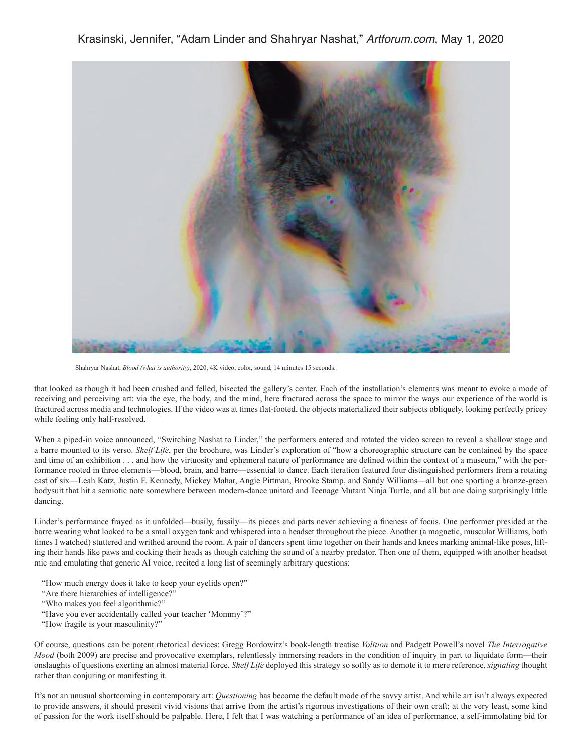Krasinski, Jennifer, "Adam Linder and Shahryar Nashat," *Artforum.com*, May 1, 2020



Shahryar Nashat, *Blood (what is authority)*, 2020, 4K video, color, sound, 14 minutes 15 seconds.

that looked as though it had been crushed and felled, bisected the gallery's center. Each of the installation's elements was meant to evoke a mode of receiving and perceiving art: via the eye, the body, and the mind, here fractured across the space to mirror the ways our experience of the world is fractured across media and technologies. If the video was at times flat-footed, the objects materialized their subjects obliquely, looking perfectly pricey while feeling only half-resolved.

When a piped-in voice announced, "Switching Nashat to Linder," the performers entered and rotated the video screen to reveal a shallow stage and a barre mounted to its verso. *Shelf Life*, per the brochure, was Linder's exploration of "how a choreographic structure can be contained by the space and time of an exhibition . . . and how the virtuosity and ephemeral nature of performance are defined within the context of a museum," with the performance rooted in three elements—blood, brain, and barre—essential to dance. Each iteration featured four distinguished performers from a rotating cast of six—Leah Katz, Justin F. Kennedy, Mickey Mahar, Angie Pittman, Brooke Stamp, and Sandy Williams—all but one sporting a bronze-green bodysuit that hit a semiotic note somewhere between modern-dance unitard and Teenage Mutant Ninja Turtle, and all but one doing surprisingly little dancing.

Linder's performance frayed as it unfolded—busily, fussily—its pieces and parts never achieving a fineness of focus. One performer presided at the barre wearing what looked to be a small oxygen tank and whispered into a headset throughout the piece. Another (a magnetic, muscular Williams, both times I watched) stuttered and writhed around the room. A pair of dancers spent time together on their hands and knees marking animal-like poses, lifting their hands like paws and cocking their heads as though catching the sound of a nearby predator. Then one of them, equipped with another headset mic and emulating that generic AI voice, recited a long list of seemingly arbitrary questions:

- "How much energy does it take to keep your eyelids open?"
- "Are there hierarchies of intelligence?"
- "Who makes you feel algorithmic?"
- "Have you ever accidentally called your teacher 'Mommy'?"
- "How fragile is your masculinity?"

Of course, questions can be potent rhetorical devices: Gregg Bordowitz's book-length treatise *Volition* and Padgett Powell's novel *The Interrogative Mood* (both 2009) are precise and provocative exemplars, relentlessly immersing readers in the condition of inquiry in part to liquidate form—their onslaughts of questions exerting an almost material force. *Shelf Life* deployed this strategy so softly as to demote it to mere reference, *signaling* thought rather than conjuring or manifesting it.

It's not an unusual shortcoming in contemporary art: *Questioning* has become the default mode of the savvy artist. And while art isn't always expected to provide answers, it should present vivid visions that arrive from the artist's rigorous investigations of their own craft; at the very least, some kind of passion for the work itself should be palpable. Here, I felt that I was watching a performance of an idea of performance, a self-immolating bid for